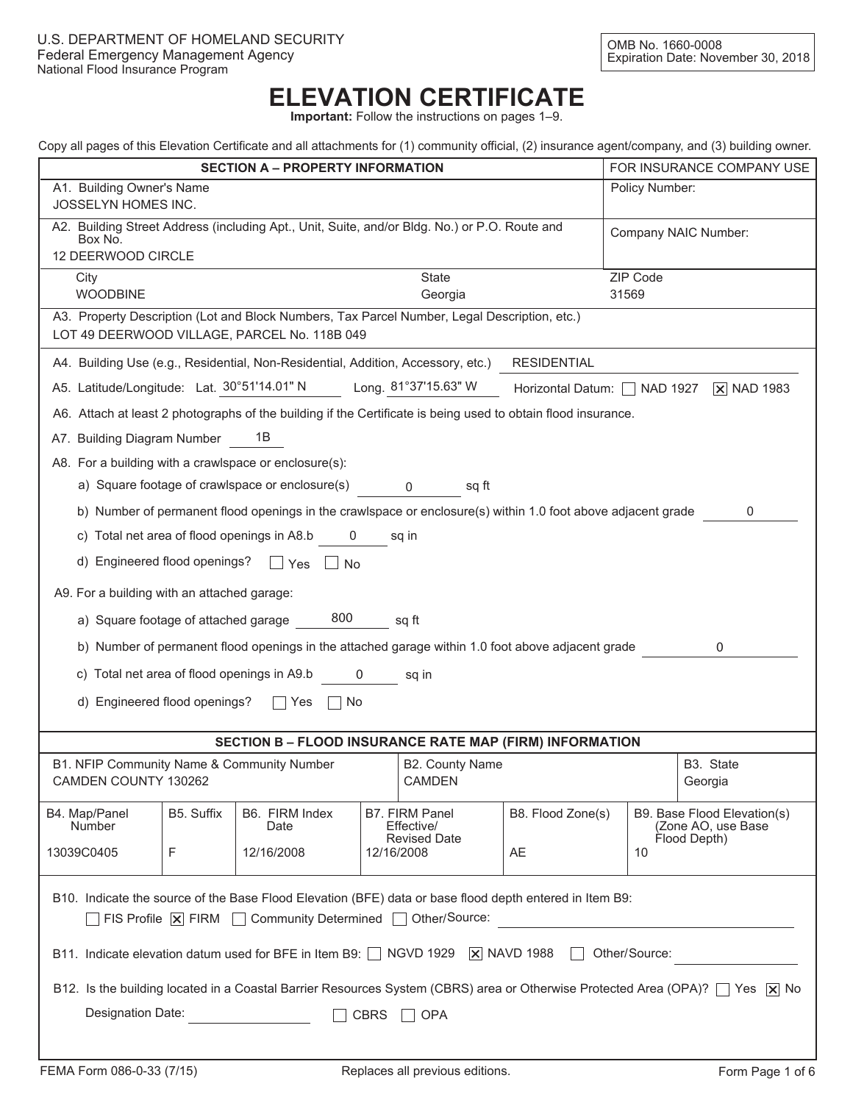## **ELEVATION CERTIFICATE**

**Important:** Follow the instructions on pages 1–9.

|  | Copy all pages of this Elevation Certificate and all attachments for (1) community official, (2) insurance agent/company, and (3) building owner. |  |  |  |  |  |
|--|---------------------------------------------------------------------------------------------------------------------------------------------------|--|--|--|--|--|
|  |                                                                                                                                                   |  |  |  |  |  |
|  |                                                                                                                                                   |  |  |  |  |  |
|  |                                                                                                                                                   |  |  |  |  |  |

|                                                                                                                                                                                                      |                                                                                                               |                                                                                                              |  |                                                     |                    |                           | Cupy all pages of this Elevation Centificate and all attachments for (1) community onicial, (2) insurance agent/company, and (3) building owner. |  |
|------------------------------------------------------------------------------------------------------------------------------------------------------------------------------------------------------|---------------------------------------------------------------------------------------------------------------|--------------------------------------------------------------------------------------------------------------|--|-----------------------------------------------------|--------------------|---------------------------|--------------------------------------------------------------------------------------------------------------------------------------------------|--|
| <b>SECTION A - PROPERTY INFORMATION</b><br>A1. Building Owner's Name                                                                                                                                 |                                                                                                               |                                                                                                              |  |                                                     |                    | FOR INSURANCE COMPANY USE |                                                                                                                                                  |  |
| Policy Number:<br>JOSSELYN HOMES INC.                                                                                                                                                                |                                                                                                               |                                                                                                              |  |                                                     |                    |                           |                                                                                                                                                  |  |
| A2. Building Street Address (including Apt., Unit, Suite, and/or Bldg. No.) or P.O. Route and<br>Company NAIC Number:<br>Box No.<br>12 DEERWOOD CIRCLE                                               |                                                                                                               |                                                                                                              |  |                                                     |                    |                           |                                                                                                                                                  |  |
| <b>State</b><br>ZIP Code<br>City                                                                                                                                                                     |                                                                                                               |                                                                                                              |  |                                                     |                    |                           |                                                                                                                                                  |  |
| <b>WOODBINE</b><br>31569<br>Georgia                                                                                                                                                                  |                                                                                                               |                                                                                                              |  |                                                     |                    |                           |                                                                                                                                                  |  |
| A3. Property Description (Lot and Block Numbers, Tax Parcel Number, Legal Description, etc.)<br>LOT 49 DEERWOOD VILLAGE, PARCEL No. 118B 049                                                         |                                                                                                               |                                                                                                              |  |                                                     |                    |                           |                                                                                                                                                  |  |
| A4. Building Use (e.g., Residential, Non-Residential, Addition, Accessory, etc.)                                                                                                                     |                                                                                                               |                                                                                                              |  |                                                     | <b>RESIDENTIAL</b> |                           |                                                                                                                                                  |  |
| A5. Latitude/Longitude: Lat. 30°51'14.01" N Long. 81°37'15.63" W                                                                                                                                     |                                                                                                               |                                                                                                              |  |                                                     |                    |                           | Horizontal Datum: NAD 1927 X NAD 1983                                                                                                            |  |
| A6. Attach at least 2 photographs of the building if the Certificate is being used to obtain flood insurance.                                                                                        |                                                                                                               |                                                                                                              |  |                                                     |                    |                           |                                                                                                                                                  |  |
| A7. Building Diagram Number                                                                                                                                                                          |                                                                                                               | 1B                                                                                                           |  |                                                     |                    |                           |                                                                                                                                                  |  |
| A8. For a building with a crawlspace or enclosure(s):                                                                                                                                                |                                                                                                               |                                                                                                              |  |                                                     |                    |                           |                                                                                                                                                  |  |
|                                                                                                                                                                                                      |                                                                                                               | a) Square footage of crawlspace or enclosure(s) 0                                                            |  | sq ft                                               |                    |                           |                                                                                                                                                  |  |
|                                                                                                                                                                                                      |                                                                                                               | b) Number of permanent flood openings in the crawlspace or enclosure(s) within 1.0 foot above adjacent grade |  |                                                     |                    |                           | 0                                                                                                                                                |  |
|                                                                                                                                                                                                      |                                                                                                               | c) Total net area of flood openings in A8.b 0                                                                |  | sq in                                               |                    |                           |                                                                                                                                                  |  |
|                                                                                                                                                                                                      | d) Engineered flood openings? □ Yes □ No                                                                      |                                                                                                              |  |                                                     |                    |                           |                                                                                                                                                  |  |
| A9. For a building with an attached garage:                                                                                                                                                          |                                                                                                               |                                                                                                              |  |                                                     |                    |                           |                                                                                                                                                  |  |
|                                                                                                                                                                                                      |                                                                                                               | a) Square footage of attached garage 800                                                                     |  | sq ft                                               |                    |                           |                                                                                                                                                  |  |
|                                                                                                                                                                                                      | b) Number of permanent flood openings in the attached garage within 1.0 foot above adjacent grade<br>$\Omega$ |                                                                                                              |  |                                                     |                    |                           |                                                                                                                                                  |  |
|                                                                                                                                                                                                      |                                                                                                               | c) Total net area of flood openings in A9.b 0                                                                |  | sq in                                               |                    |                           |                                                                                                                                                  |  |
| d) Engineered flood openings?                                                                                                                                                                        |                                                                                                               | ∣ ∣No<br>  Yes                                                                                               |  |                                                     |                    |                           |                                                                                                                                                  |  |
|                                                                                                                                                                                                      |                                                                                                               |                                                                                                              |  |                                                     |                    |                           |                                                                                                                                                  |  |
|                                                                                                                                                                                                      |                                                                                                               | <b>SECTION B - FLOOD INSURANCE RATE MAP (FIRM) INFORMATION</b>                                               |  |                                                     |                    |                           |                                                                                                                                                  |  |
| B1. NFIP Community Name & Community Number<br>CAMDEN COUNTY 130262                                                                                                                                   |                                                                                                               |                                                                                                              |  | B2. County Name<br><b>CAMDEN</b>                    |                    |                           | B3. State<br>Georgia                                                                                                                             |  |
| B4. Map/Panel<br><b>Number</b>                                                                                                                                                                       | B5. Suffix                                                                                                    | B6. FIRM Index<br>Date                                                                                       |  | B7. FIRM Panel<br>Effective/<br><b>Revised Date</b> | B8. Flood Zone(s)  |                           | B9. Base Flood Elevation(s)<br>(Zone AO, use Base<br>Flood Depth)                                                                                |  |
| F<br>13039C0405                                                                                                                                                                                      |                                                                                                               | 12/16/2008                                                                                                   |  | 12/16/2008                                          | AE                 | 10                        |                                                                                                                                                  |  |
| B10. Indicate the source of the Base Flood Elevation (BFE) data or base flood depth entered in Item B9:                                                                                              |                                                                                                               |                                                                                                              |  |                                                     |                    |                           |                                                                                                                                                  |  |
| $\overline{\phantom{a}}$ FIS Profile $\overline{\phantom{a}}\hspace{0.05cm}$ FIRM $\overline{\phantom{a}}\hspace{0.05cm}$ Community Determined $\overline{\phantom{a}}\hspace{0.05cm}$ Other/Source: |                                                                                                               |                                                                                                              |  |                                                     |                    |                           |                                                                                                                                                  |  |
| B11. Indicate elevation datum used for BFE in Item B9: □ NGVD 1929   X NAVD 1988<br>Other/Source:                                                                                                    |                                                                                                               |                                                                                                              |  |                                                     |                    |                           |                                                                                                                                                  |  |
| B12. Is the building located in a Coastal Barrier Resources System (CBRS) area or Otherwise Protected Area (OPA)? [Yes  X  No                                                                        |                                                                                                               |                                                                                                              |  |                                                     |                    |                           |                                                                                                                                                  |  |
| Designation Date:<br><b>CBRS</b><br><b>OPA</b>                                                                                                                                                       |                                                                                                               |                                                                                                              |  |                                                     |                    |                           |                                                                                                                                                  |  |
|                                                                                                                                                                                                      |                                                                                                               |                                                                                                              |  |                                                     |                    |                           |                                                                                                                                                  |  |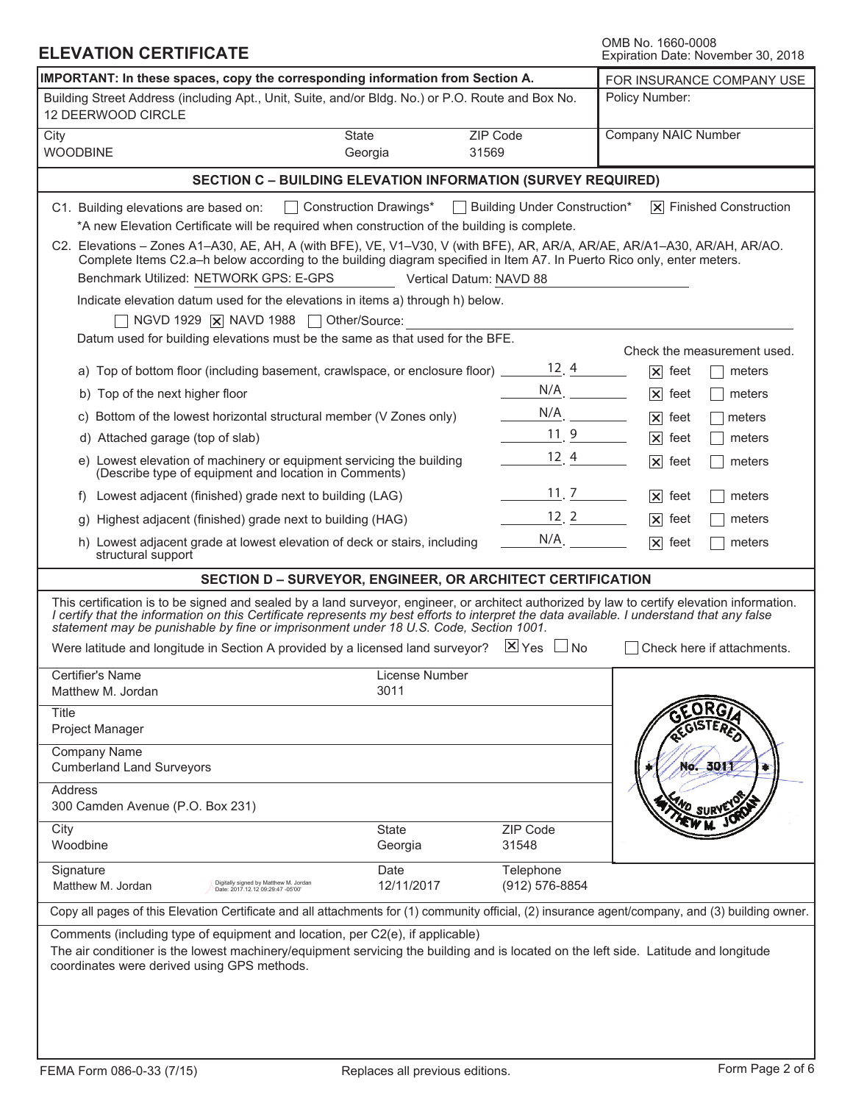| <b>ELEVATION CERTIFICATE</b>                                                                                                                                                                                                                                                                                                                                                                                                                                                                                                                                                                                                                                                                                                                                                                                                                                                                                                                                                                                                                                                                                                                                                                   | OMB No. 1660-0008<br>Expiration Date: November 30, 2018                                                                                     |                                                                                                                                                                                                                                                                                                              |                               |  |
|------------------------------------------------------------------------------------------------------------------------------------------------------------------------------------------------------------------------------------------------------------------------------------------------------------------------------------------------------------------------------------------------------------------------------------------------------------------------------------------------------------------------------------------------------------------------------------------------------------------------------------------------------------------------------------------------------------------------------------------------------------------------------------------------------------------------------------------------------------------------------------------------------------------------------------------------------------------------------------------------------------------------------------------------------------------------------------------------------------------------------------------------------------------------------------------------|---------------------------------------------------------------------------------------------------------------------------------------------|--------------------------------------------------------------------------------------------------------------------------------------------------------------------------------------------------------------------------------------------------------------------------------------------------------------|-------------------------------|--|
| IMPORTANT: In these spaces, copy the corresponding information from Section A.                                                                                                                                                                                                                                                                                                                                                                                                                                                                                                                                                                                                                                                                                                                                                                                                                                                                                                                                                                                                                                                                                                                 | FOR INSURANCE COMPANY USE                                                                                                                   |                                                                                                                                                                                                                                                                                                              |                               |  |
| Building Street Address (including Apt., Unit, Suite, and/or Bldg. No.) or P.O. Route and Box No.<br>12 DEERWOOD CIRCLE                                                                                                                                                                                                                                                                                                                                                                                                                                                                                                                                                                                                                                                                                                                                                                                                                                                                                                                                                                                                                                                                        |                                                                                                                                             |                                                                                                                                                                                                                                                                                                              | Policy Number:                |  |
| City<br><b>WOODBINE</b>                                                                                                                                                                                                                                                                                                                                                                                                                                                                                                                                                                                                                                                                                                                                                                                                                                                                                                                                                                                                                                                                                                                                                                        | State<br>Georgia                                                                                                                            | ZIP Code<br>31569                                                                                                                                                                                                                                                                                            | Company NAIC Number           |  |
|                                                                                                                                                                                                                                                                                                                                                                                                                                                                                                                                                                                                                                                                                                                                                                                                                                                                                                                                                                                                                                                                                                                                                                                                | <b>SECTION C - BUILDING ELEVATION INFORMATION (SURVEY REQUIRED)</b>                                                                         |                                                                                                                                                                                                                                                                                                              |                               |  |
| Construction Drawings*<br>C1. Building elevations are based on:<br>*A new Elevation Certificate will be required when construction of the building is complete.<br>C2. Elevations - Zones A1-A30, AE, AH, A (with BFE), VE, V1-V30, V (with BFE), AR, AR/A, AR/AE, AR/A1-A30, AR/AH, AR/AO.<br>Complete Items C2.a-h below according to the building diagram specified in Item A7. In Puerto Rico only, enter meters.<br>Benchmark Utilized: NETWORK GPS: E-GPS<br>Indicate elevation datum used for the elevations in items a) through h) below.<br>NGVD 1929 $\overline{X}$ NAVD 1988 $\Box$<br>Datum used for building elevations must be the same as that used for the BFE.<br>a) Top of bottom floor (including basement, crawlspace, or enclosure floor) $\frac{12}{4}$ .<br>b) Top of the next higher floor<br>c) Bottom of the lowest horizontal structural member (V Zones only)<br>d) Attached garage (top of slab)<br>e) Lowest elevation of machinery or equipment servicing the building<br>(Describe type of equipment and location in Comments)<br>f) Lowest adjacent (finished) grade next to building (LAG)<br>Highest adjacent (finished) grade next to building (HAG)<br>q) | Building Under Construction*<br>Vertical Datum: NAVD 88<br>$N/A$ .<br>$N/A$ .<br>11, 9<br>12, 4<br>$\frac{11}{2}$ . 7<br>$\frac{12}{2}$ . 2 | $ \overline{x} $ Finished Construction<br>Check the measurement used.<br>$ \mathsf{x} $ feet<br>meters<br>$ \mathsf{x} $ feet<br>meters<br>$ \mathsf{x} $ feet<br>meters<br>$ \mathsf{x} $ feet<br>meters<br>$ \mathsf{x} $ feet<br>meters<br>$ \mathsf{x} $ feet<br>meters<br>$ \mathsf{x} $ feet<br>meters |                               |  |
| h) Lowest adjacent grade at lowest elevation of deck or stairs, including<br>structural support                                                                                                                                                                                                                                                                                                                                                                                                                                                                                                                                                                                                                                                                                                                                                                                                                                                                                                                                                                                                                                                                                                |                                                                                                                                             | N/A                                                                                                                                                                                                                                                                                                          | $ \mathsf{x} $ feet<br>meters |  |
|                                                                                                                                                                                                                                                                                                                                                                                                                                                                                                                                                                                                                                                                                                                                                                                                                                                                                                                                                                                                                                                                                                                                                                                                | SECTION D - SURVEYOR, ENGINEER, OR ARCHITECT CERTIFICATION                                                                                  |                                                                                                                                                                                                                                                                                                              |                               |  |
| This certification is to be signed and sealed by a land surveyor, engineer, or architect authorized by law to certify elevation information.<br>I certify that the information on this Certificate represents my best efforts to interpret the data available. I understand that any false<br>statement may be punishable by fine or imprisonment under 18 U.S. Code, Section 1001.<br>Were latitude and longitude in Section A provided by a licensed land surveyor? $\mathbb{X}$ Yes $\Box$ No                                                                                                                                                                                                                                                                                                                                                                                                                                                                                                                                                                                                                                                                                               |                                                                                                                                             |                                                                                                                                                                                                                                                                                                              | Check here if attachments.    |  |
| Certifier's Name<br>Matthew M. Jordan<br><b>Title</b><br>Project Manager                                                                                                                                                                                                                                                                                                                                                                                                                                                                                                                                                                                                                                                                                                                                                                                                                                                                                                                                                                                                                                                                                                                       | License Number<br>3011                                                                                                                      |                                                                                                                                                                                                                                                                                                              |                               |  |
| Company Name<br><b>Cumberland Land Surveyors</b><br>Address<br>300 Camden Avenue (P.O. Box 231)                                                                                                                                                                                                                                                                                                                                                                                                                                                                                                                                                                                                                                                                                                                                                                                                                                                                                                                                                                                                                                                                                                |                                                                                                                                             |                                                                                                                                                                                                                                                                                                              | No. 3011                      |  |
| City<br>Woodbine                                                                                                                                                                                                                                                                                                                                                                                                                                                                                                                                                                                                                                                                                                                                                                                                                                                                                                                                                                                                                                                                                                                                                                               | State<br>Georgia                                                                                                                            | ZIP Code<br>31548                                                                                                                                                                                                                                                                                            |                               |  |
| Signature<br>Digitally signed by Matthew M. Jordan<br>Matthew M. Jordan<br>Date: 2017.12.12 09:29:47 -05'00'                                                                                                                                                                                                                                                                                                                                                                                                                                                                                                                                                                                                                                                                                                                                                                                                                                                                                                                                                                                                                                                                                   | Date<br>12/11/2017                                                                                                                          | Telephone<br>(912) 576-8854                                                                                                                                                                                                                                                                                  |                               |  |
| Copy all pages of this Elevation Certificate and all attachments for (1) community official, (2) insurance agent/company, and (3) building owner.                                                                                                                                                                                                                                                                                                                                                                                                                                                                                                                                                                                                                                                                                                                                                                                                                                                                                                                                                                                                                                              |                                                                                                                                             |                                                                                                                                                                                                                                                                                                              |                               |  |
| Comments (including type of equipment and location, per C2(e), if applicable)<br>The air conditioner is the lowest machinery/equipment servicing the building and is located on the left side. Latitude and longitude<br>coordinates were derived using GPS methods.                                                                                                                                                                                                                                                                                                                                                                                                                                                                                                                                                                                                                                                                                                                                                                                                                                                                                                                           |                                                                                                                                             |                                                                                                                                                                                                                                                                                                              |                               |  |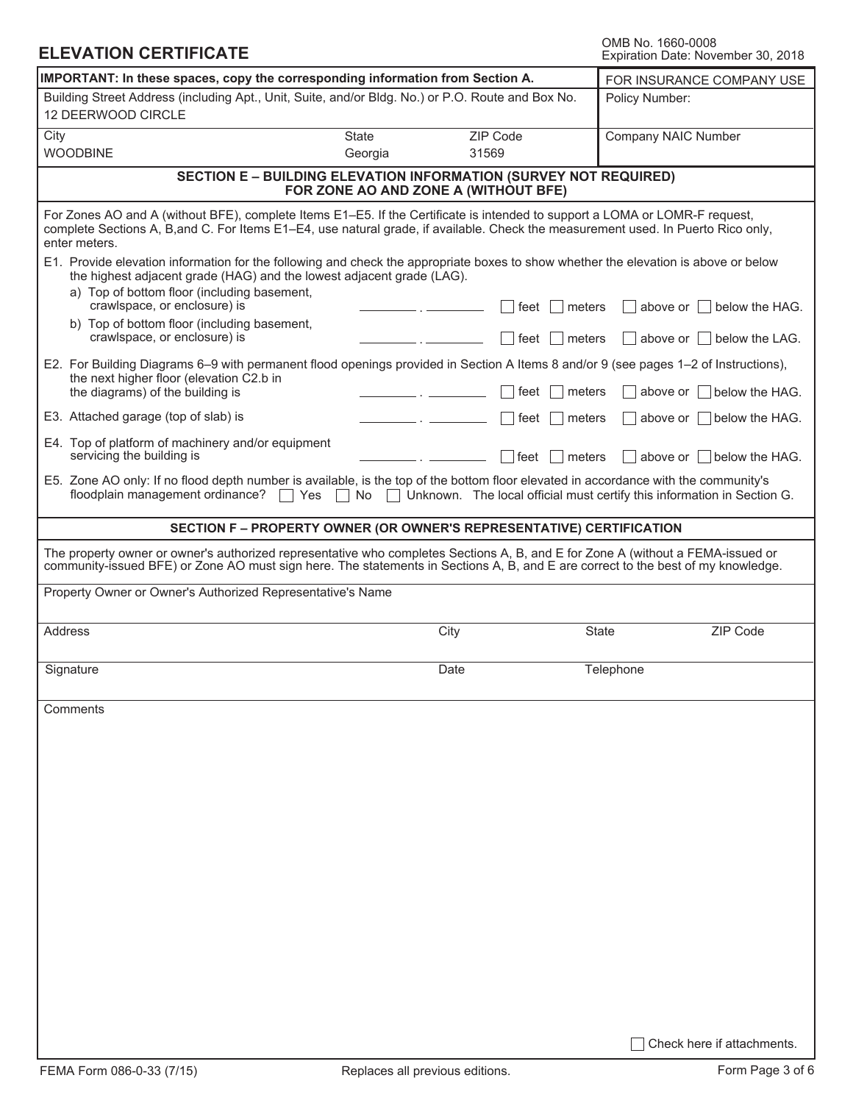| OMB No. 1660-0008 |                                    |  |
|-------------------|------------------------------------|--|
|                   | Expiration Date: November 30, 2018 |  |

| <b>ELEVATION CERTIFICATE</b>                                                                                                                                                                                                                                                      |                         |                                                                                                                 | UMB NO. 1000-0008<br>Expiration Date: November 30, 2018                 |  |  |
|-----------------------------------------------------------------------------------------------------------------------------------------------------------------------------------------------------------------------------------------------------------------------------------|-------------------------|-----------------------------------------------------------------------------------------------------------------|-------------------------------------------------------------------------|--|--|
| IMPORTANT: In these spaces, copy the corresponding information from Section A.                                                                                                                                                                                                    |                         |                                                                                                                 | FOR INSURANCE COMPANY USE                                               |  |  |
| Building Street Address (including Apt., Unit, Suite, and/or Bldg. No.) or P.O. Route and Box No.<br>12 DEERWOOD CIRCLE                                                                                                                                                           |                         |                                                                                                                 | Policy Number:                                                          |  |  |
| City<br><b>WOODBINE</b>                                                                                                                                                                                                                                                           | <b>State</b><br>Georgia | ZIP Code<br>31569                                                                                               | Company NAIC Number                                                     |  |  |
|                                                                                                                                                                                                                                                                                   |                         | <b>SECTION E - BUILDING ELEVATION INFORMATION (SURVEY NOT REQUIRED)</b><br>FOR ZONE AO AND ZONE A (WITHOUT BFE) |                                                                         |  |  |
| For Zones AO and A (without BFE), complete Items E1–E5. If the Certificate is intended to support a LOMA or LOMR-F request,<br>complete Sections A, B, and C. For Items E1–E4, use natural grade, if available. Check the measurement used. In Puerto Rico only,<br>enter meters. |                         |                                                                                                                 |                                                                         |  |  |
| E1. Provide elevation information for the following and check the appropriate boxes to show whether the elevation is above or below<br>the highest adjacent grade (HAG) and the lowest adjacent grade (LAG).<br>a) Top of bottom floor (including basement,                       |                         |                                                                                                                 |                                                                         |  |  |
| crawlspace, or enclosure) is                                                                                                                                                                                                                                                      |                         | meters<br>feet                                                                                                  | above or $ $<br>below the HAG.                                          |  |  |
| b) Top of bottom floor (including basement,<br>crawlspace, or enclosure) is                                                                                                                                                                                                       |                         | meters<br>∣ feet                                                                                                | above or     below the LAG.                                             |  |  |
| E2. For Building Diagrams 6–9 with permanent flood openings provided in Section A Items 8 and/or 9 (see pages 1–2 of Instructions),                                                                                                                                               |                         |                                                                                                                 |                                                                         |  |  |
| the next higher floor (elevation C2.b in<br>the diagrams) of the building is                                                                                                                                                                                                      |                         | ∣ feet<br>meters                                                                                                | above or     below the HAG.                                             |  |  |
| E3. Attached garage (top of slab) is                                                                                                                                                                                                                                              |                         | meters<br>∣ feet                                                                                                | $\vert$ above or $\vert$ $\vert$ below the HAG.                         |  |  |
| E4. Top of platform of machinery and/or equipment<br>servicing the building is                                                                                                                                                                                                    |                         | ∣feet<br>meters                                                                                                 | above or     below the HAG.                                             |  |  |
| E5. Zone AO only: If no flood depth number is available, is the top of the bottom floor elevated in accordance with the community's<br>floodplain management ordinance?<br>Yes                                                                                                    | No<br>$\blacksquare$    |                                                                                                                 | Unknown. The local official must certify this information in Section G. |  |  |
| SECTION F - PROPERTY OWNER (OR OWNER'S REPRESENTATIVE) CERTIFICATION                                                                                                                                                                                                              |                         |                                                                                                                 |                                                                         |  |  |
| The property owner or owner's authorized representative who completes Sections A, B, and E for Zone A (without a FEMA-issued or<br>community-issued BFE) or Zone AO must sign here. The statements in Sections A, B, and E are correct to the best of my knowledge.               |                         |                                                                                                                 |                                                                         |  |  |
| Property Owner or Owner's Authorized Representative's Name                                                                                                                                                                                                                        |                         |                                                                                                                 |                                                                         |  |  |
| Address                                                                                                                                                                                                                                                                           |                         | City                                                                                                            | ZIP Code<br><b>State</b>                                                |  |  |
| Signature                                                                                                                                                                                                                                                                         |                         | Date                                                                                                            | Telephone                                                               |  |  |
| Comments                                                                                                                                                                                                                                                                          |                         |                                                                                                                 |                                                                         |  |  |
|                                                                                                                                                                                                                                                                                   |                         |                                                                                                                 |                                                                         |  |  |
|                                                                                                                                                                                                                                                                                   |                         |                                                                                                                 |                                                                         |  |  |
|                                                                                                                                                                                                                                                                                   |                         |                                                                                                                 |                                                                         |  |  |
|                                                                                                                                                                                                                                                                                   |                         |                                                                                                                 |                                                                         |  |  |
|                                                                                                                                                                                                                                                                                   |                         |                                                                                                                 |                                                                         |  |  |
|                                                                                                                                                                                                                                                                                   |                         |                                                                                                                 |                                                                         |  |  |
|                                                                                                                                                                                                                                                                                   |                         |                                                                                                                 |                                                                         |  |  |
|                                                                                                                                                                                                                                                                                   |                         |                                                                                                                 |                                                                         |  |  |
|                                                                                                                                                                                                                                                                                   |                         |                                                                                                                 |                                                                         |  |  |
|                                                                                                                                                                                                                                                                                   |                         |                                                                                                                 |                                                                         |  |  |
|                                                                                                                                                                                                                                                                                   |                         |                                                                                                                 |                                                                         |  |  |
|                                                                                                                                                                                                                                                                                   |                         |                                                                                                                 | Check here if attachments.                                              |  |  |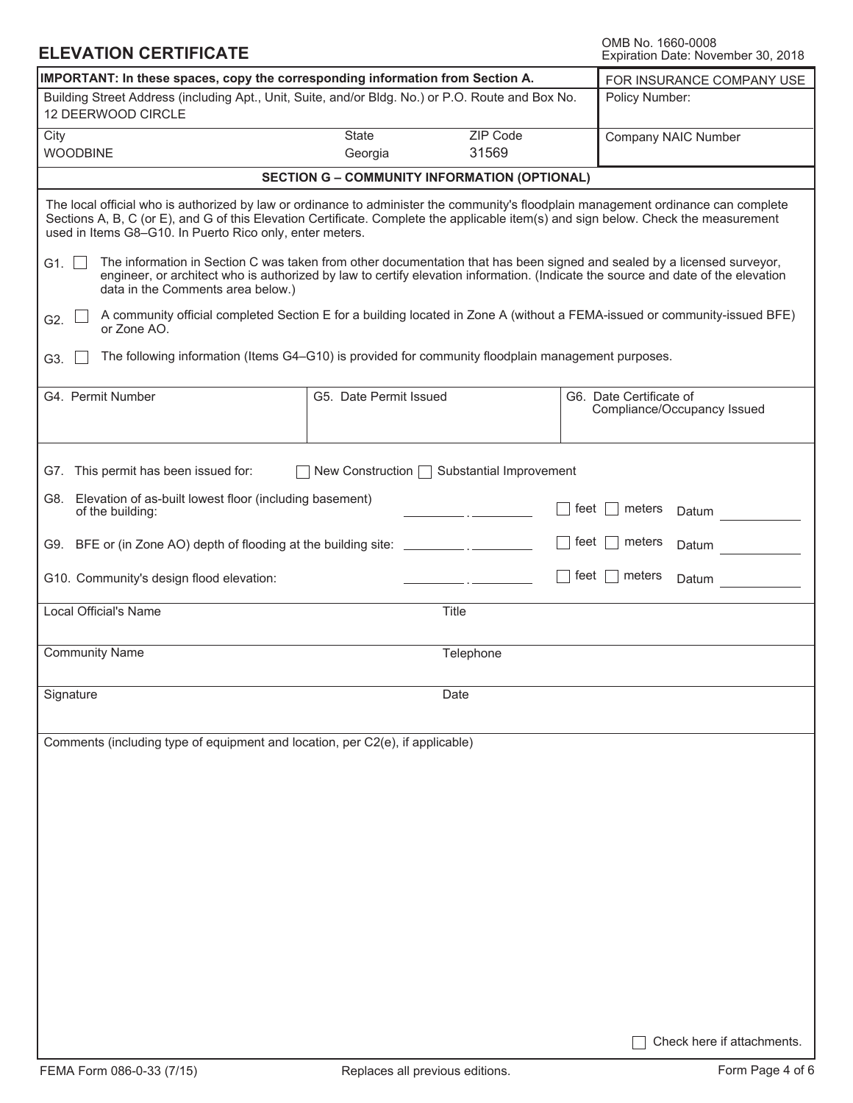## **ELEVATION CERTIFICATE**

OMB No. 1660-0008<br>Expiration Date: November 30, 2018

| IMPORTANT: In these spaces, copy the corresponding information from Section A.                                                                                                                                                                                                                                 | FOR INSURANCE COMPANY USE                                                                                                                                                                                                                                                                                                              |           |                                                                                                                           |  |  |  |  |  |
|----------------------------------------------------------------------------------------------------------------------------------------------------------------------------------------------------------------------------------------------------------------------------------------------------------------|----------------------------------------------------------------------------------------------------------------------------------------------------------------------------------------------------------------------------------------------------------------------------------------------------------------------------------------|-----------|---------------------------------------------------------------------------------------------------------------------------|--|--|--|--|--|
| Building Street Address (including Apt., Unit, Suite, and/or Bldg. No.) or P.O. Route and Box No.                                                                                                                                                                                                              | Policy Number:                                                                                                                                                                                                                                                                                                                         |           |                                                                                                                           |  |  |  |  |  |
| 12 DEERWOOD CIRCLE<br>ZIP Code<br>State                                                                                                                                                                                                                                                                        |                                                                                                                                                                                                                                                                                                                                        |           |                                                                                                                           |  |  |  |  |  |
| City                                                                                                                                                                                                                                                                                                           | Company NAIC Number                                                                                                                                                                                                                                                                                                                    |           |                                                                                                                           |  |  |  |  |  |
| <b>WOODBINE</b>                                                                                                                                                                                                                                                                                                | Georgia                                                                                                                                                                                                                                                                                                                                | 31569     |                                                                                                                           |  |  |  |  |  |
|                                                                                                                                                                                                                                                                                                                | <b>SECTION G - COMMUNITY INFORMATION (OPTIONAL)</b>                                                                                                                                                                                                                                                                                    |           |                                                                                                                           |  |  |  |  |  |
|                                                                                                                                                                                                                                                                                                                | The local official who is authorized by law or ordinance to administer the community's floodplain management ordinance can complete<br>Sections A, B, C (or E), and G of this Elevation Certificate. Complete the applicable item(s) and sign below. Check the measurement<br>used in Items G8-G10. In Puerto Rico only, enter meters. |           |                                                                                                                           |  |  |  |  |  |
| The information in Section C was taken from other documentation that has been signed and sealed by a licensed surveyor,<br>G1. $\Box$<br>engineer, or architect who is authorized by law to certify elevation information. (Indicate the source and date of the elevation<br>data in the Comments area below.) |                                                                                                                                                                                                                                                                                                                                        |           |                                                                                                                           |  |  |  |  |  |
| G2.<br>or Zone AO.                                                                                                                                                                                                                                                                                             |                                                                                                                                                                                                                                                                                                                                        |           | A community official completed Section E for a building located in Zone A (without a FEMA-issued or community-issued BFE) |  |  |  |  |  |
| The following information (Items G4-G10) is provided for community floodplain management purposes.<br>G3.                                                                                                                                                                                                      |                                                                                                                                                                                                                                                                                                                                        |           |                                                                                                                           |  |  |  |  |  |
| G4. Permit Number                                                                                                                                                                                                                                                                                              | G5. Date Permit Issued                                                                                                                                                                                                                                                                                                                 |           | G6. Date Certificate of<br>Compliance/Occupancy Issued                                                                    |  |  |  |  |  |
| G7. This permit has been issued for:                                                                                                                                                                                                                                                                           | New Construction □ Substantial Improvement                                                                                                                                                                                                                                                                                             |           |                                                                                                                           |  |  |  |  |  |
| G8. Elevation of as-built lowest floor (including basement)<br>of the building:                                                                                                                                                                                                                                |                                                                                                                                                                                                                                                                                                                                        |           | feet  <br>meters<br>Datum                                                                                                 |  |  |  |  |  |
| G9. BFE or (in Zone AO) depth of flooding at the building site: _________________                                                                                                                                                                                                                              |                                                                                                                                                                                                                                                                                                                                        |           | feet  <br>meters<br>Datum                                                                                                 |  |  |  |  |  |
| G10. Community's design flood elevation:                                                                                                                                                                                                                                                                       |                                                                                                                                                                                                                                                                                                                                        |           | feet $\Box$<br>meters<br>Datum                                                                                            |  |  |  |  |  |
| Local Official's Name                                                                                                                                                                                                                                                                                          |                                                                                                                                                                                                                                                                                                                                        | Title     |                                                                                                                           |  |  |  |  |  |
| <b>Community Name</b>                                                                                                                                                                                                                                                                                          |                                                                                                                                                                                                                                                                                                                                        | Telephone |                                                                                                                           |  |  |  |  |  |
| Signature                                                                                                                                                                                                                                                                                                      |                                                                                                                                                                                                                                                                                                                                        | Date      |                                                                                                                           |  |  |  |  |  |
| Comments (including type of equipment and location, per C2(e), if applicable)                                                                                                                                                                                                                                  |                                                                                                                                                                                                                                                                                                                                        |           |                                                                                                                           |  |  |  |  |  |
|                                                                                                                                                                                                                                                                                                                |                                                                                                                                                                                                                                                                                                                                        |           |                                                                                                                           |  |  |  |  |  |
|                                                                                                                                                                                                                                                                                                                |                                                                                                                                                                                                                                                                                                                                        |           |                                                                                                                           |  |  |  |  |  |
|                                                                                                                                                                                                                                                                                                                |                                                                                                                                                                                                                                                                                                                                        |           |                                                                                                                           |  |  |  |  |  |
|                                                                                                                                                                                                                                                                                                                |                                                                                                                                                                                                                                                                                                                                        |           |                                                                                                                           |  |  |  |  |  |
|                                                                                                                                                                                                                                                                                                                |                                                                                                                                                                                                                                                                                                                                        |           |                                                                                                                           |  |  |  |  |  |
|                                                                                                                                                                                                                                                                                                                |                                                                                                                                                                                                                                                                                                                                        |           |                                                                                                                           |  |  |  |  |  |
|                                                                                                                                                                                                                                                                                                                |                                                                                                                                                                                                                                                                                                                                        |           |                                                                                                                           |  |  |  |  |  |
|                                                                                                                                                                                                                                                                                                                |                                                                                                                                                                                                                                                                                                                                        |           | Check here if attachments.                                                                                                |  |  |  |  |  |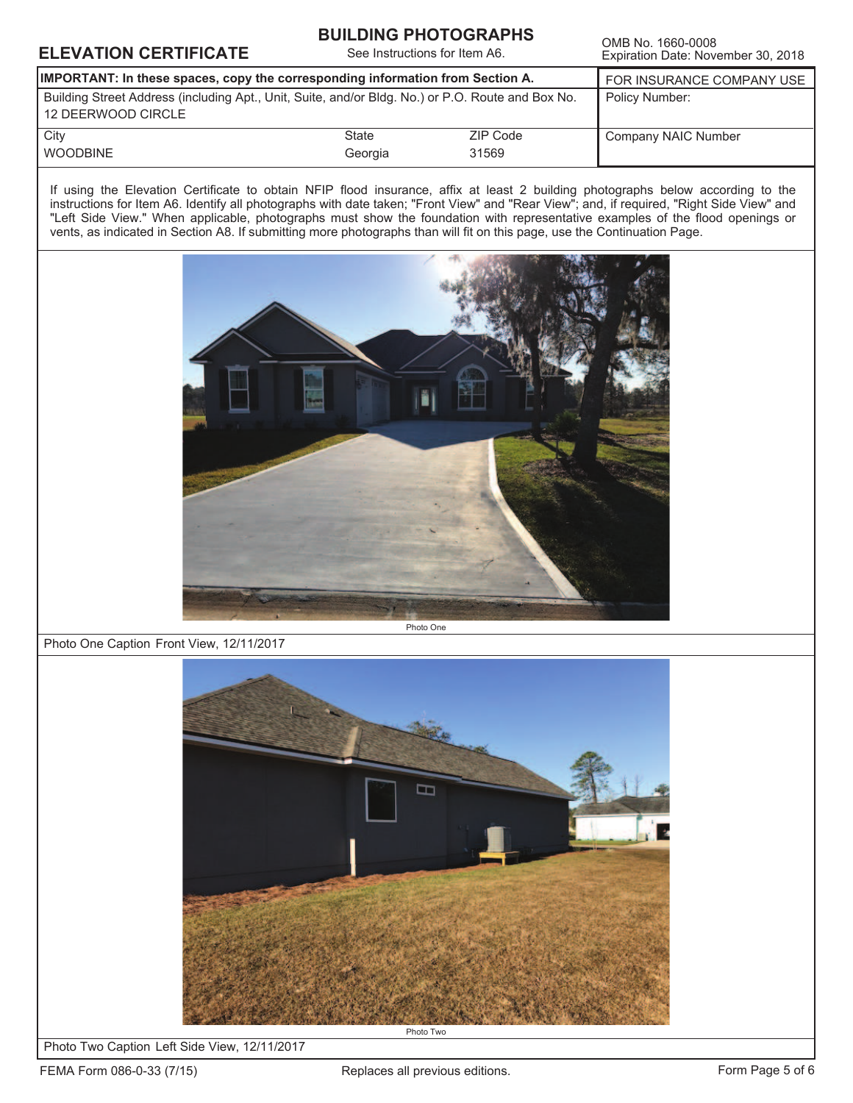| IMPORTANT: In these spaces, copy the corresponding information from Section A.<br><b>State</b><br>Georgia | Building Street Address (including Apt., Unit, Suite, and/or Bldg. No.) or P.O. Route and Box No.<br>ZIP Code<br>31569<br>vents, as indicated in Section A8. If submitting more photographs than will fit on this page, use the Continuation Page. | FOR INSURANCE COMPANY USE<br>Policy Number:<br>Company NAIC Number<br>If using the Elevation Certificate to obtain NFIP flood insurance, affix at least 2 building photographs below according to the<br>instructions for Item A6. Identify all photographs with date taken; "Front View" and "Rear View"; and, if required, "Right Side View" and<br>"Left Side View." When applicable, photographs must show the foundation with representative examples of the flood openings or |
|-----------------------------------------------------------------------------------------------------------|----------------------------------------------------------------------------------------------------------------------------------------------------------------------------------------------------------------------------------------------------|-------------------------------------------------------------------------------------------------------------------------------------------------------------------------------------------------------------------------------------------------------------------------------------------------------------------------------------------------------------------------------------------------------------------------------------------------------------------------------------|
|                                                                                                           |                                                                                                                                                                                                                                                    |                                                                                                                                                                                                                                                                                                                                                                                                                                                                                     |
|                                                                                                           |                                                                                                                                                                                                                                                    |                                                                                                                                                                                                                                                                                                                                                                                                                                                                                     |
|                                                                                                           |                                                                                                                                                                                                                                                    |                                                                                                                                                                                                                                                                                                                                                                                                                                                                                     |
|                                                                                                           |                                                                                                                                                                                                                                                    |                                                                                                                                                                                                                                                                                                                                                                                                                                                                                     |
|                                                                                                           |                                                                                                                                                                                                                                                    |                                                                                                                                                                                                                                                                                                                                                                                                                                                                                     |
|                                                                                                           |                                                                                                                                                                                                                                                    | Photo One                                                                                                                                                                                                                                                                                                                                                                                                                                                                           |

**BUILDING PHOTOGRAPHS** 



Photo Two Caption Left Side View, 12/11/2017